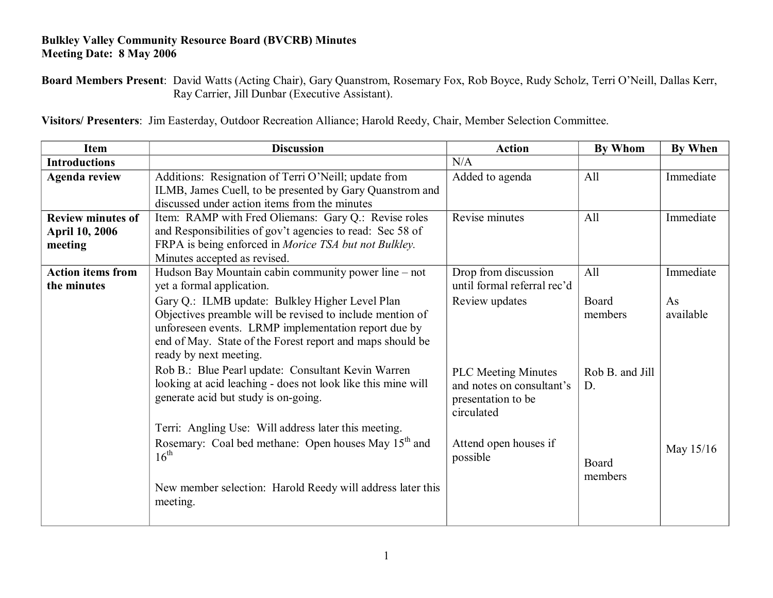## **Bulkley Valley Community Resource Board (BVCRB) Minutes Meeting Date: 8 May 2006**

**Board Members Present**: David Watts (Acting Chair), Gary Quanstrom, Rosemary Fox, Rob Boyce, Rudy Scholz, Terri O'Neill, Dallas Kerr, Ray Carrier, Jill Dunbar (Executive Assistant).

**Visitors/ Presenters**: Jim Easterday, Outdoor Recreation Alliance; Harold Reedy, Chair, Member Selection Committee.

| <b>Item</b>              | <b>Discussion</b>                                                | <b>Action</b>               | <b>By Whom</b>  | <b>By When</b> |
|--------------------------|------------------------------------------------------------------|-----------------------------|-----------------|----------------|
| <b>Introductions</b>     |                                                                  | N/A                         |                 |                |
| <b>Agenda review</b>     | Additions: Resignation of Terri O'Neill; update from             | Added to agenda             | All             | Immediate      |
|                          | ILMB, James Cuell, to be presented by Gary Quanstrom and         |                             |                 |                |
|                          | discussed under action items from the minutes                    |                             |                 |                |
| <b>Review minutes of</b> | Item: RAMP with Fred Oliemans: Gary Q.: Revise roles             | Revise minutes              | All             | Immediate      |
| <b>April 10, 2006</b>    | and Responsibilities of gov't agencies to read: Sec 58 of        |                             |                 |                |
| meeting                  | FRPA is being enforced in Morice TSA but not Bulkley.            |                             |                 |                |
|                          | Minutes accepted as revised.                                     |                             |                 |                |
| <b>Action items from</b> | Hudson Bay Mountain cabin community power line – not             | Drop from discussion        | All             | Immediate      |
| the minutes              | yet a formal application.                                        | until formal referral rec'd |                 |                |
|                          | Gary Q.: ILMB update: Bulkley Higher Level Plan                  | Review updates              | Board           | As             |
|                          | Objectives preamble will be revised to include mention of        |                             | members         | available      |
|                          | unforeseen events. LRMP implementation report due by             |                             |                 |                |
|                          | end of May. State of the Forest report and maps should be        |                             |                 |                |
|                          | ready by next meeting.                                           |                             |                 |                |
|                          | Rob B.: Blue Pearl update: Consultant Kevin Warren               | <b>PLC Meeting Minutes</b>  | Rob B. and Jill |                |
|                          | looking at acid leaching - does not look like this mine will     | and notes on consultant's   | D.              |                |
|                          | generate acid but study is on-going.                             | presentation to be          |                 |                |
|                          |                                                                  | circulated                  |                 |                |
|                          | Terri: Angling Use: Will address later this meeting.             |                             |                 |                |
|                          | Rosemary: Coal bed methane: Open houses May 15 <sup>th</sup> and | Attend open houses if       |                 |                |
|                          | $16^{th}$                                                        | possible                    | Board           | May 15/16      |
|                          |                                                                  |                             | members         |                |
|                          | New member selection: Harold Reedy will address later this       |                             |                 |                |
|                          | meeting.                                                         |                             |                 |                |
|                          |                                                                  |                             |                 |                |
|                          |                                                                  |                             |                 |                |